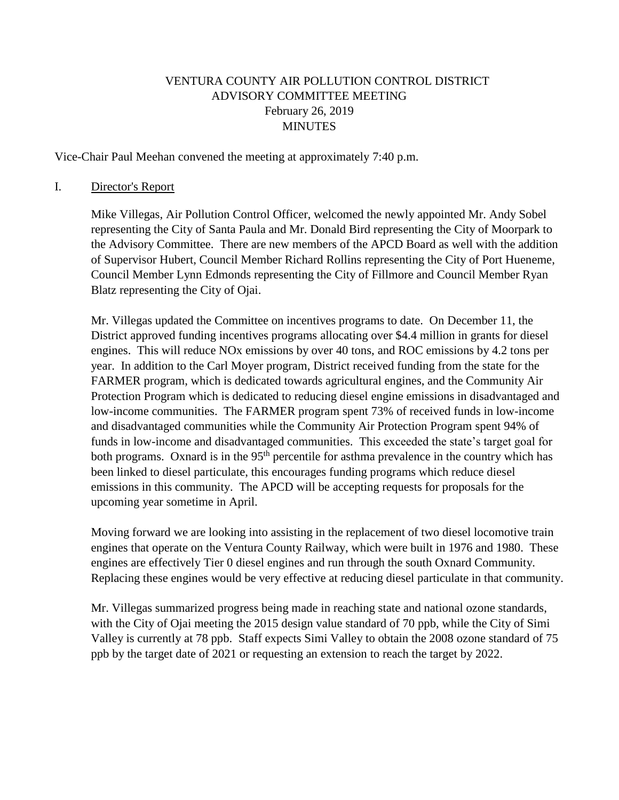### VENTURA COUNTY AIR POLLUTION CONTROL DISTRICT ADVISORY COMMITTEE MEETING February 26, 2019 MINUTES

Vice-Chair Paul Meehan convened the meeting at approximately 7:40 p.m.

#### I. Director's Report

Mike Villegas, Air Pollution Control Officer, welcomed the newly appointed Mr. Andy Sobel representing the City of Santa Paula and Mr. Donald Bird representing the City of Moorpark to the Advisory Committee. There are new members of the APCD Board as well with the addition of Supervisor Hubert, Council Member Richard Rollins representing the City of Port Hueneme, Council Member Lynn Edmonds representing the City of Fillmore and Council Member Ryan Blatz representing the City of Ojai.

Mr. Villegas updated the Committee on incentives programs to date. On December 11, the District approved funding incentives programs allocating over \$4.4 million in grants for diesel engines. This will reduce NOx emissions by over 40 tons, and ROC emissions by 4.2 tons per year. In addition to the Carl Moyer program, District received funding from the state for the FARMER program, which is dedicated towards agricultural engines, and the Community Air Protection Program which is dedicated to reducing diesel engine emissions in disadvantaged and low-income communities. The FARMER program spent 73% of received funds in low-income and disadvantaged communities while the Community Air Protection Program spent 94% of funds in low-income and disadvantaged communities. This exceeded the state's target goal for both programs. Oxnard is in the 95<sup>th</sup> percentile for asthma prevalence in the country which has been linked to diesel particulate, this encourages funding programs which reduce diesel emissions in this community. The APCD will be accepting requests for proposals for the upcoming year sometime in April.

Moving forward we are looking into assisting in the replacement of two diesel locomotive train engines that operate on the Ventura County Railway, which were built in 1976 and 1980. These engines are effectively Tier 0 diesel engines and run through the south Oxnard Community. Replacing these engines would be very effective at reducing diesel particulate in that community.

Mr. Villegas summarized progress being made in reaching state and national ozone standards, with the City of Ojai meeting the 2015 design value standard of 70 ppb, while the City of Simi Valley is currently at 78 ppb. Staff expects Simi Valley to obtain the 2008 ozone standard of 75 ppb by the target date of 2021 or requesting an extension to reach the target by 2022.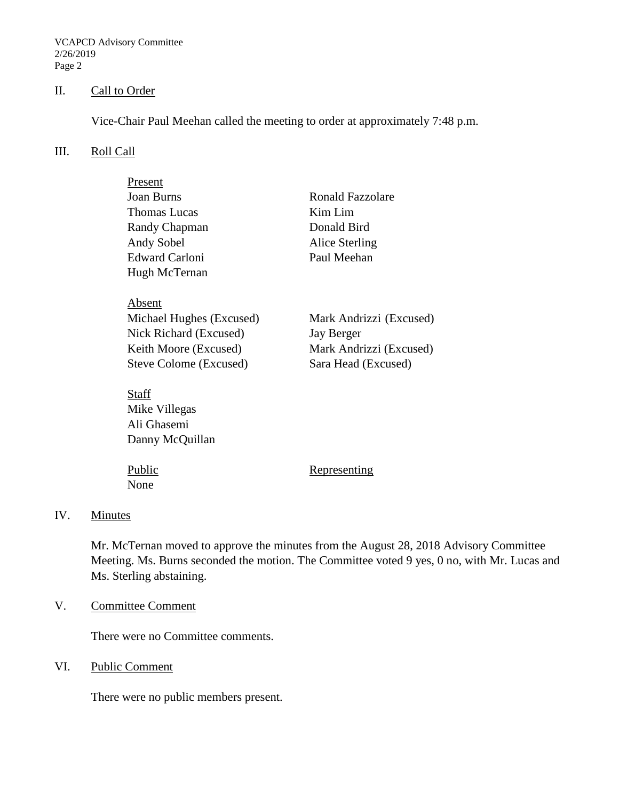VCAPCD Advisory Committee 2/26/2019 Page 2

### II. Call to Order

Vice-Chair Paul Meehan called the meeting to order at approximately 7:48 p.m.

#### III. Roll Call

| Present                  |                         |
|--------------------------|-------------------------|
| <b>Joan Burns</b>        | Ronald Fazzolare        |
| Thomas Lucas             | Kim Lim                 |
| Randy Chapman            | Donald Bird             |
| Andy Sobel               | Alice Sterling          |
| <b>Edward Carloni</b>    | Paul Meehan             |
| Hugh McTernan            |                         |
|                          |                         |
| Absent                   |                         |
| Michael Hughes (Excused) | Mark Andrizzi (Excused) |
| Nick Richard (Excused)   | Jay Berger              |
| Keith Moore (Excused)    | Mark Andrizzi (Excused) |
| Steve Colome (Excused)   | Sara Head (Excused)     |
|                          |                         |
| Staff                    |                         |
| Mike Villegas            |                         |
| Ali Ghasemi              |                         |
| Danny McQuillan          |                         |

None

Public Representing

#### IV. Minutes

Mr. McTernan moved to approve the minutes from the August 28, 2018 Advisory Committee Meeting. Ms. Burns seconded the motion. The Committee voted 9 yes, 0 no, with Mr. Lucas and Ms. Sterling abstaining.

V. Committee Comment

There were no Committee comments.

VI. Public Comment

There were no public members present.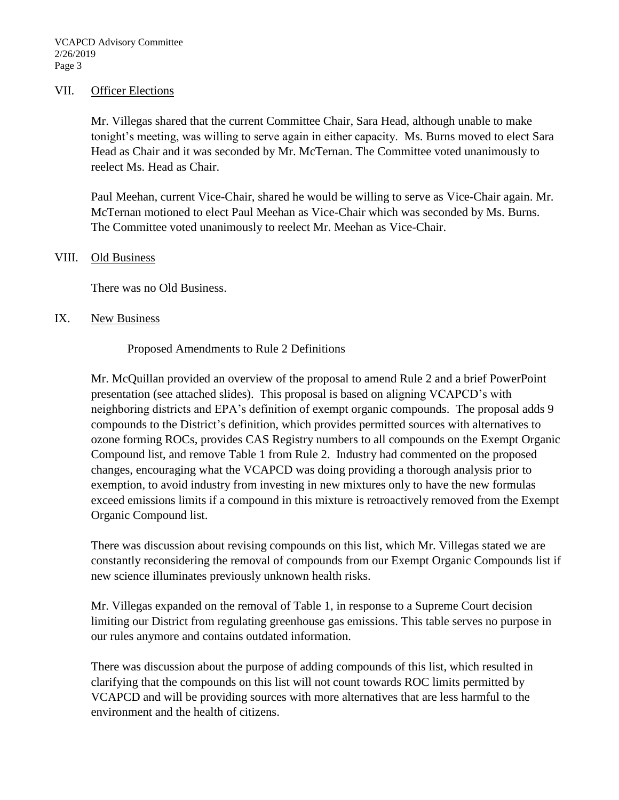#### VII. Officer Elections

Mr. Villegas shared that the current Committee Chair, Sara Head, although unable to make tonight's meeting, was willing to serve again in either capacity. Ms. Burns moved to elect Sara Head as Chair and it was seconded by Mr. McTernan. The Committee voted unanimously to reelect Ms. Head as Chair.

Paul Meehan, current Vice-Chair, shared he would be willing to serve as Vice-Chair again. Mr. McTernan motioned to elect Paul Meehan as Vice-Chair which was seconded by Ms. Burns. The Committee voted unanimously to reelect Mr. Meehan as Vice-Chair.

#### VIII. Old Business

There was no Old Business.

#### IX. New Business

Proposed Amendments to Rule 2 Definitions

Mr. McQuillan provided an overview of the proposal to amend Rule 2 and a brief PowerPoint presentation (see attached slides). This proposal is based on aligning VCAPCD's with neighboring districts and EPA's definition of exempt organic compounds. The proposal adds 9 compounds to the District's definition, which provides permitted sources with alternatives to ozone forming ROCs, provides CAS Registry numbers to all compounds on the Exempt Organic Compound list, and remove Table 1 from Rule 2. Industry had commented on the proposed changes, encouraging what the VCAPCD was doing providing a thorough analysis prior to exemption, to avoid industry from investing in new mixtures only to have the new formulas exceed emissions limits if a compound in this mixture is retroactively removed from the Exempt Organic Compound list.

There was discussion about revising compounds on this list, which Mr. Villegas stated we are constantly reconsidering the removal of compounds from our Exempt Organic Compounds list if new science illuminates previously unknown health risks.

Mr. Villegas expanded on the removal of Table 1, in response to a Supreme Court decision limiting our District from regulating greenhouse gas emissions. This table serves no purpose in our rules anymore and contains outdated information.

There was discussion about the purpose of adding compounds of this list, which resulted in clarifying that the compounds on this list will not count towards ROC limits permitted by VCAPCD and will be providing sources with more alternatives that are less harmful to the environment and the health of citizens.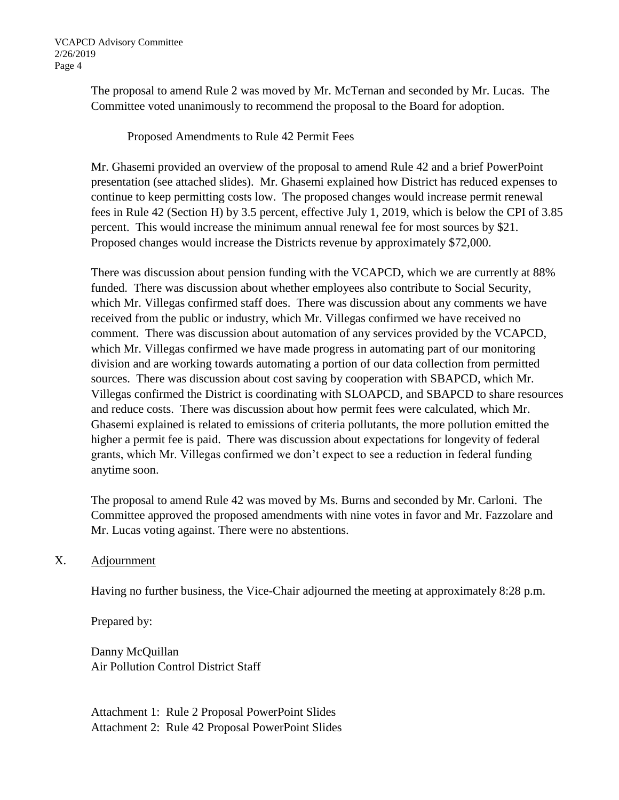The proposal to amend Rule 2 was moved by Mr. McTernan and seconded by Mr. Lucas. The Committee voted unanimously to recommend the proposal to the Board for adoption.

Proposed Amendments to Rule 42 Permit Fees

Mr. Ghasemi provided an overview of the proposal to amend Rule 42 and a brief PowerPoint presentation (see attached slides). Mr. Ghasemi explained how District has reduced expenses to continue to keep permitting costs low. The proposed changes would increase permit renewal fees in Rule 42 (Section H) by 3.5 percent, effective July 1, 2019, which is below the CPI of 3.85 percent. This would increase the minimum annual renewal fee for most sources by \$21. Proposed changes would increase the Districts revenue by approximately \$72,000.

There was discussion about pension funding with the VCAPCD, which we are currently at 88% funded. There was discussion about whether employees also contribute to Social Security, which Mr. Villegas confirmed staff does. There was discussion about any comments we have received from the public or industry, which Mr. Villegas confirmed we have received no comment. There was discussion about automation of any services provided by the VCAPCD, which Mr. Villegas confirmed we have made progress in automating part of our monitoring division and are working towards automating a portion of our data collection from permitted sources. There was discussion about cost saving by cooperation with SBAPCD, which Mr. Villegas confirmed the District is coordinating with SLOAPCD, and SBAPCD to share resources and reduce costs. There was discussion about how permit fees were calculated, which Mr. Ghasemi explained is related to emissions of criteria pollutants, the more pollution emitted the higher a permit fee is paid. There was discussion about expectations for longevity of federal grants, which Mr. Villegas confirmed we don't expect to see a reduction in federal funding anytime soon.

The proposal to amend Rule 42 was moved by Ms. Burns and seconded by Mr. Carloni. The Committee approved the proposed amendments with nine votes in favor and Mr. Fazzolare and Mr. Lucas voting against. There were no abstentions.

### X. Adjournment

Having no further business, the Vice-Chair adjourned the meeting at approximately 8:28 p.m.

Prepared by:

Danny McQuillan Air Pollution Control District Staff

Attachment 1: Rule 2 Proposal PowerPoint Slides Attachment 2: Rule 42 Proposal PowerPoint Slides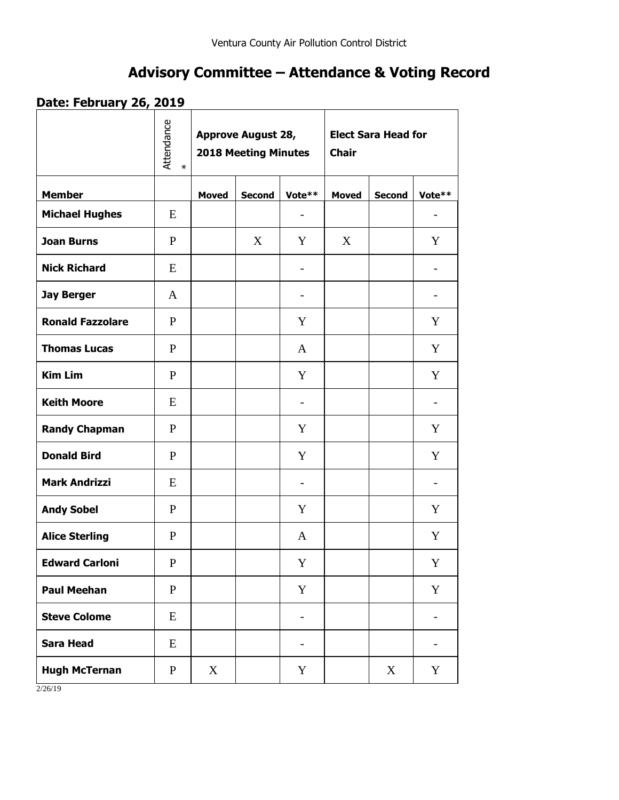# **Advisory Committee – Attendance & Voting Record**

## **Date: February 26, 2019**

|                         | Attendance<br>$\star$ | <b>Approve August 28,</b><br><b>2018 Meeting Minutes</b> |               |                          | <b>Elect Sara Head for</b><br><b>Chair</b> |               |                          |
|-------------------------|-----------------------|----------------------------------------------------------|---------------|--------------------------|--------------------------------------------|---------------|--------------------------|
| <b>Member</b>           |                       | <b>Moved</b>                                             | <b>Second</b> | Vote**                   | <b>Moved</b>                               | <b>Second</b> | Vote**                   |
| <b>Michael Hughes</b>   | E                     |                                                          |               |                          |                                            |               |                          |
| <b>Joan Burns</b>       | $\mathbf{P}$          |                                                          | X             | Y                        | X                                          |               | Y                        |
| <b>Nick Richard</b>     | E                     |                                                          |               |                          |                                            |               | $\overline{\phantom{a}}$ |
| <b>Jay Berger</b>       | A                     |                                                          |               | $\overline{\phantom{0}}$ |                                            |               | $\overline{\phantom{a}}$ |
| <b>Ronald Fazzolare</b> | P                     |                                                          |               | Y                        |                                            |               | Y                        |
| <b>Thomas Lucas</b>     | $\mathbf{P}$          |                                                          |               | A                        |                                            |               | Y                        |
| <b>Kim Lim</b>          | $\mathbf{P}$          |                                                          |               | Y                        |                                            |               | Y                        |
| <b>Keith Moore</b>      | E                     |                                                          |               | $\overline{\phantom{0}}$ |                                            |               | $\overline{\phantom{0}}$ |
| <b>Randy Chapman</b>    | P                     |                                                          |               | Y                        |                                            |               | Y                        |
| <b>Donald Bird</b>      | P                     |                                                          |               | Y                        |                                            |               | Y                        |
| <b>Mark Andrizzi</b>    | E                     |                                                          |               | $\overline{\phantom{0}}$ |                                            |               |                          |
| <b>Andy Sobel</b>       | $\mathbf{P}$          |                                                          |               | Y                        |                                            |               | Y                        |
| <b>Alice Sterling</b>   | $\mathbf{P}$          |                                                          |               | A                        |                                            |               | Y                        |
| <b>Edward Carloni</b>   | ${\bf P}$             |                                                          |               | $\mathbf Y$              |                                            |               | Y                        |
| <b>Paul Meehan</b>      | ${\bf P}$             |                                                          |               | Y                        |                                            |               | Y                        |
| <b>Steve Colome</b>     | E                     |                                                          |               | $\overline{\phantom{a}}$ |                                            |               | $\overline{\phantom{a}}$ |
| <b>Sara Head</b>        | E                     |                                                          |               | $\overline{\phantom{0}}$ |                                            |               |                          |
| <b>Hugh McTernan</b>    | $\mathbf{P}$          | X                                                        |               | Y                        |                                            | X             | Y                        |

2/26/19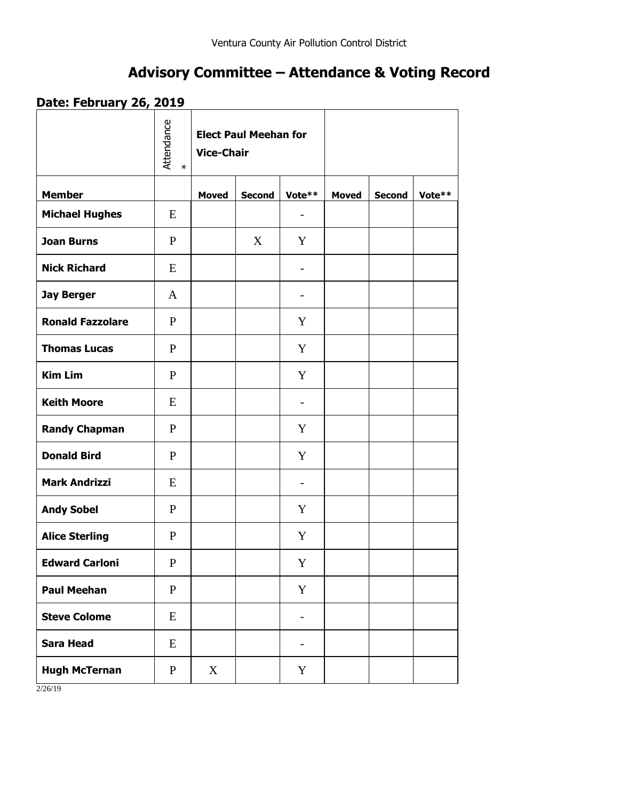# **Advisory Committee – Attendance & Voting Record**

## **Date: February 26, 2019**

|                         | Attendance<br>$\star$ | <b>Elect Paul Meehan for</b><br><b>Vice-Chair</b> |               |                          |              |               |        |
|-------------------------|-----------------------|---------------------------------------------------|---------------|--------------------------|--------------|---------------|--------|
| <b>Member</b>           |                       | <b>Moved</b>                                      | <b>Second</b> | Vote**                   | <b>Moved</b> | <b>Second</b> | Vote** |
| <b>Michael Hughes</b>   | E                     |                                                   |               | $\overline{\phantom{a}}$ |              |               |        |
| <b>Joan Burns</b>       | $\mathbf{P}$          |                                                   | X             | Y                        |              |               |        |
| <b>Nick Richard</b>     | E                     |                                                   |               | $\overline{\phantom{a}}$ |              |               |        |
| <b>Jay Berger</b>       | A                     |                                                   |               | $\overline{\phantom{a}}$ |              |               |        |
| <b>Ronald Fazzolare</b> | $\mathbf{P}$          |                                                   |               | Y                        |              |               |        |
| <b>Thomas Lucas</b>     | $\mathbf{P}$          |                                                   |               | Y                        |              |               |        |
| <b>Kim Lim</b>          | $\mathbf{P}$          |                                                   |               | Y                        |              |               |        |
| <b>Keith Moore</b>      | E                     |                                                   |               | $\overline{\phantom{a}}$ |              |               |        |
| <b>Randy Chapman</b>    | P                     |                                                   |               | Y                        |              |               |        |
| <b>Donald Bird</b>      | $\mathbf{P}$          |                                                   |               | Y                        |              |               |        |
| <b>Mark Andrizzi</b>    | E                     |                                                   |               | $\overline{\phantom{0}}$ |              |               |        |
| <b>Andy Sobel</b>       | $\mathbf{P}$          |                                                   |               | Y                        |              |               |        |
| <b>Alice Sterling</b>   | $\mathbf{P}$          |                                                   |               | Y                        |              |               |        |
| <b>Edward Carloni</b>   | ${\bf P}$             |                                                   |               | $\mathbf Y$              |              |               |        |
| <b>Paul Meehan</b>      | ${\bf P}$             |                                                   |               | $\mathbf Y$              |              |               |        |
| <b>Steve Colome</b>     | E                     |                                                   |               | $\overline{\phantom{0}}$ |              |               |        |
| <b>Sara Head</b>        | E                     |                                                   |               | -                        |              |               |        |
| <b>Hugh McTernan</b>    | $\mathbf{P}$          | X                                                 |               | Y                        |              |               |        |

2/26/19